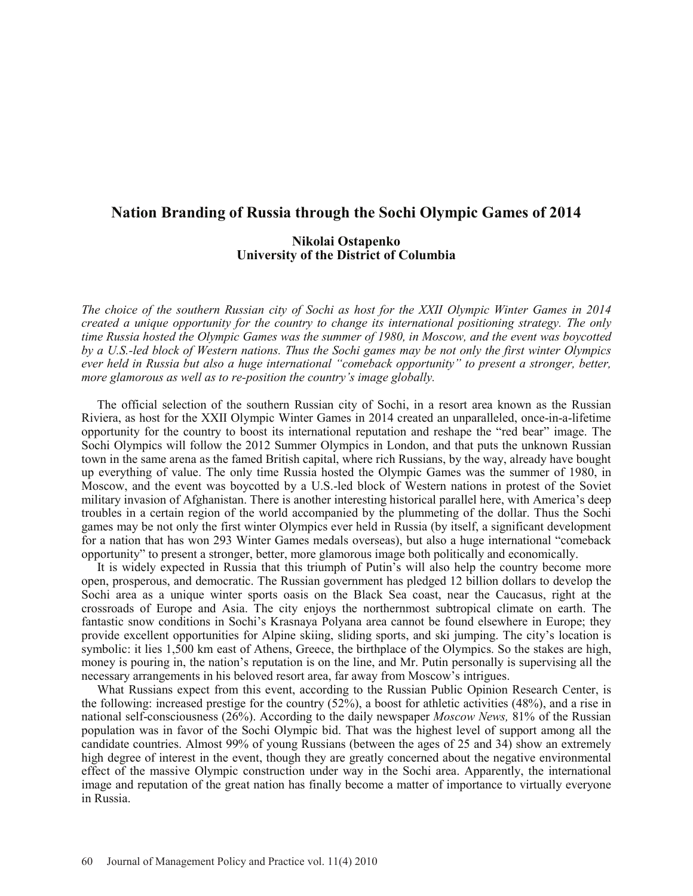## **Nation Branding of Russia through the Sochi Olympic Games of 2014**

## **Nikolai Ostapenko University of the District of Columbia**

*The choice of the southern Russian city of Sochi as host for the XXII Olympic Winter Games in 2014 created a unique opportunity for the country to change its international positioning strategy. The only time Russia hosted the Olympic Games was the summer of 1980, in Moscow, and the event was boycotted by a U.S.-led block of Western nations. Thus the Sochi games may be not only the first winter Olympics ever held in Russia but also a huge international "comeback opportunity" to present a stronger, better, more glamorous as well as to re-position the country's image globally.*

The official selection of the southern Russian city of Sochi, in a resort area known as the Russian Riviera, as host for the XXII Olympic Winter Games in 2014 created an unparalleled, once-in-a-lifetime opportunity for the country to boost its international reputation and reshape the "red bear" image. The Sochi Olympics will follow the 2012 Summer Olympics in London, and that puts the unknown Russian town in the same arena as the famed British capital, where rich Russians, by the way, already have bought up everything of value. The only time Russia hosted the Olympic Games was the summer of 1980, in Moscow, and the event was boycotted by a U.S.-led block of Western nations in protest of the Soviet military invasion of Afghanistan. There is another interesting historical parallel here, with America's deep troubles in a certain region of the world accompanied by the plummeting of the dollar. Thus the Sochi games may be not only the first winter Olympics ever held in Russia (by itself, a significant development for a nation that has won 293 Winter Games medals overseas), but also a huge international "comeback opportunity" to present a stronger, better, more glamorous image both politically and economically.

It is widely expected in Russia that this triumph of Putin's will also help the country become more open, prosperous, and democratic. The Russian government has pledged 12 billion dollars to develop the Sochi area as a unique winter sports oasis on the Black Sea coast, near the Caucasus, right at the crossroads of Europe and Asia. The city enjoys the northernmost subtropical climate on earth. The fantastic snow conditions in Sochi's Krasnaya Polyana area cannot be found elsewhere in Europe; they provide excellent opportunities for Alpine skiing, sliding sports, and ski jumping. The city's location is symbolic: it lies 1,500 km east of Athens, Greece, the birthplace of the Olympics. So the stakes are high, money is pouring in, the nation's reputation is on the line, and Mr. Putin personally is supervising all the necessary arrangements in his beloved resort area, far away from Moscow's intrigues.

What Russians expect from this event, according to the Russian Public Opinion Research Center, is the following: increased prestige for the country (52%), a boost for athletic activities (48%), and a rise in national self-consciousness (26%). According to the daily newspaper *Moscow News,* 81% of the Russian population was in favor of the Sochi Olympic bid. That was the highest level of support among all the candidate countries. Almost 99% of young Russians (between the ages of 25 and 34) show an extremely high degree of interest in the event, though they are greatly concerned about the negative environmental effect of the massive Olympic construction under way in the Sochi area. Apparently, the international image and reputation of the great nation has finally become a matter of importance to virtually everyone in Russia.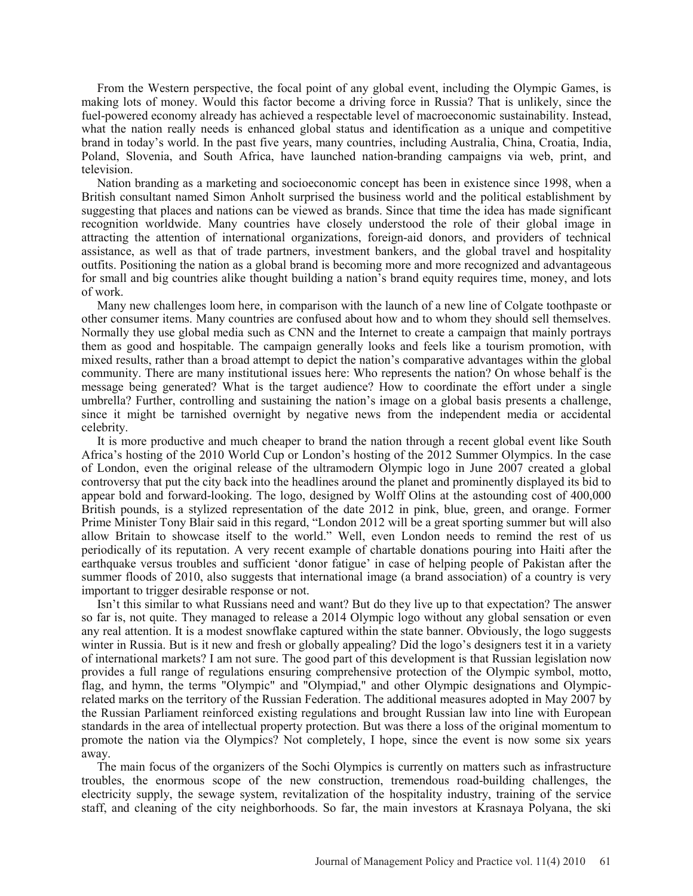From the Western perspective, the focal point of any global event, including the Olympic Games, is making lots of money. Would this factor become a driving force in Russia? That is unlikely, since the fuel-powered economy already has achieved a respectable level of macroeconomic sustainability. Instead, what the nation really needs is enhanced global status and identification as a unique and competitive brand in today's world. In the past five years, many countries, including Australia, China, Croatia, India, Poland, Slovenia, and South Africa, have launched nation-branding campaigns via web, print, and television.

Nation branding as a marketing and socioeconomic concept has been in existence since 1998, when a British consultant named Simon Anholt surprised the business world and the political establishment by suggesting that places and nations can be viewed as brands. Since that time the idea has made significant recognition worldwide. Many countries have closely understood the role of their global image in attracting the attention of international organizations, foreign-aid donors, and providers of technical assistance, as well as that of trade partners, investment bankers, and the global travel and hospitality outfits. Positioning the nation as a global brand is becoming more and more recognized and advantageous for small and big countries alike thought building a nation's brand equity requires time, money, and lots of work.

Many new challenges loom here, in comparison with the launch of a new line of Colgate toothpaste or other consumer items. Many countries are confused about how and to whom they should sell themselves. Normally they use global media such as CNN and the Internet to create a campaign that mainly portrays them as good and hospitable. The campaign generally looks and feels like a tourism promotion, with mixed results, rather than a broad attempt to depict the nation's comparative advantages within the global community. There are many institutional issues here: Who represents the nation? On whose behalf is the message being generated? What is the target audience? How to coordinate the effort under a single umbrella? Further, controlling and sustaining the nation's image on a global basis presents a challenge, since it might be tarnished overnight by negative news from the independent media or accidental celebrity.

It is more productive and much cheaper to brand the nation through a recent global event like South Africa's hosting of the 2010 World Cup or London's hosting of the 2012 Summer Olympics. In the case of London, even the original release of the ultramodern Olympic logo in June 2007 created a global controversy that put the city back into the headlines around the planet and prominently displayed its bid to appear bold and forward-looking. The logo, designed by Wolff Olins at the astounding cost of 400,000 British pounds, is a stylized representation of the date 2012 in pink, blue, green, and orange. Former Prime Minister Tony Blair said in this regard, "London 2012 will be a great sporting summer but will also allow Britain to showcase itself to the world." Well, even London needs to remind the rest of us periodically of its reputation. A very recent example of chartable donations pouring into Haiti after the earthquake versus troubles and sufficient 'donor fatigue' in case of helping people of Pakistan after the summer floods of 2010, also suggests that international image (a brand association) of a country is very important to trigger desirable response or not.

Isn't this similar to what Russians need and want? But do they live up to that expectation? The answer so far is, not quite. They managed to release a 2014 Olympic logo without any global sensation or even any real attention. It is a modest snowflake captured within the state banner. Obviously, the logo suggests winter in Russia. But is it new and fresh or globally appealing? Did the logo's designers test it in a variety of international markets? I am not sure. The good part of this development is that Russian legislation now provides a full range of regulations ensuring comprehensive protection of the Olympic symbol, motto, flag, and hymn, the terms "Olympic" and "Olympiad," and other Olympic designations and Olympicrelated marks on the territory of the Russian Federation. The additional measures adopted in May 2007 by the Russian Parliament reinforced existing regulations and brought Russian law into line with European standards in the area of intellectual property protection. But was there a loss of the original momentum to promote the nation via the Olympics? Not completely, I hope, since the event is now some six years away.

The main focus of the organizers of the Sochi Olympics is currently on matters such as infrastructure troubles, the enormous scope of the new construction, tremendous road-building challenges, the electricity supply, the sewage system, revitalization of the hospitality industry, training of the service staff, and cleaning of the city neighborhoods. So far, the main investors at Krasnaya Polyana, the ski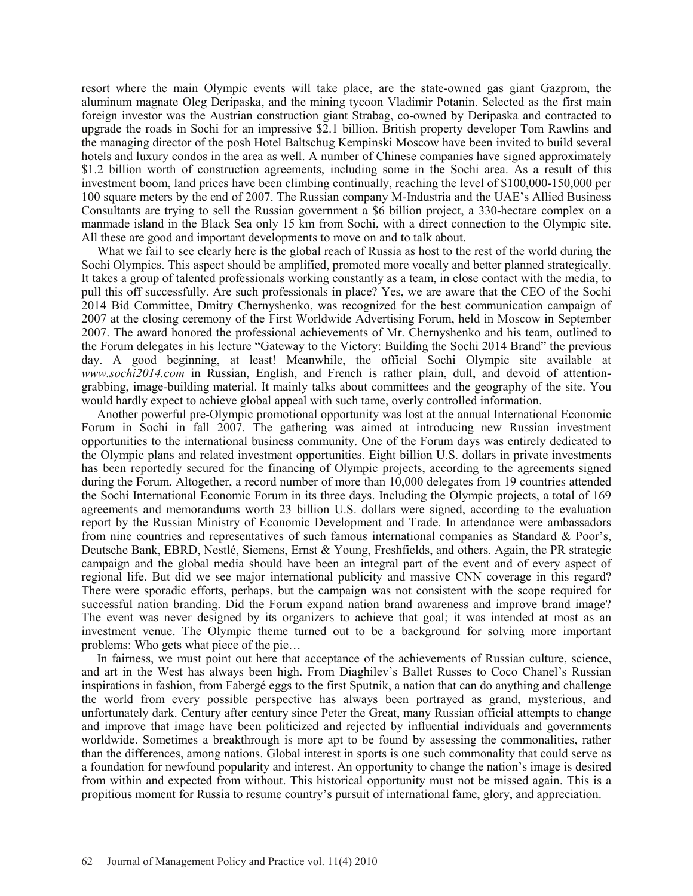resort where the main Olympic events will take place, are the state-owned gas giant Gazprom, the aluminum magnate Oleg Deripaska, and the mining tycoon Vladimir Potanin. Selected as the first main foreign investor was the Austrian construction giant Strabag, co-owned by Deripaska and contracted to upgrade the roads in Sochi for an impressive \$2.1 billion. British property developer Tom Rawlins and the managing director of the posh Hotel Baltschug Kempinski Moscow have been invited to build several hotels and luxury condos in the area as well. A number of Chinese companies have signed approximately \$1.2 billion worth of construction agreements, including some in the Sochi area. As a result of this investment boom, land prices have been climbing continually, reaching the level of \$100,000-150,000 per 100 square meters by the end of 2007. The Russian company M-Industria and the UAE's Allied Business Consultants are trying to sell the Russian government a \$6 billion project, a 330-hectare complex on a manmade island in the Black Sea only 15 km from Sochi, with a direct connection to the Olympic site. All these are good and important developments to move on and to talk about.

What we fail to see clearly here is the global reach of Russia as host to the rest of the world during the Sochi Olympics. This aspect should be amplified, promoted more vocally and better planned strategically. It takes a group of talented professionals working constantly as a team, in close contact with the media, to pull this off successfully. Are such professionals in place? Yes, we are aware that the CEO of the Sochi 2014 Bid Committee, Dmitry Chernyshenko, was recognized for the best communication campaign of 2007 at the closing ceremony of the First Worldwide Advertising Forum, held in Moscow in September 2007. The award honored the professional achievements of Mr. Chernyshenko and his team, outlined to the Forum delegates in his lecture "Gateway to the Victory: Building the Sochi 2014 Brand" the previous day. A good beginning, at least! Meanwhile, the official Sochi Olympic site available at *www.sochi2014.com* in Russian, English, and French is rather plain, dull, and devoid of attentiongrabbing, image-building material. It mainly talks about committees and the geography of the site. You would hardly expect to achieve global appeal with such tame, overly controlled information.

Another powerful pre-Olympic promotional opportunity was lost at the annual International Economic Forum in Sochi in fall 2007. The gathering was aimed at introducing new Russian investment opportunities to the international business community. One of the Forum days was entirely dedicated to the Olympic plans and related investment opportunities. Eight billion U.S. dollars in private investments has been reportedly secured for the financing of Olympic projects, according to the agreements signed during the Forum. Altogether, a record number of more than 10,000 delegates from 19 countries attended the Sochi International Economic Forum in its three days. Including the Olympic projects, a total of 169 agreements and memorandums worth 23 billion U.S. dollars were signed, according to the evaluation report by the Russian Ministry of Economic Development and Trade. In attendance were ambassadors from nine countries and representatives of such famous international companies as Standard & Poor's, Deutsche Bank, EBRD, Nestlé, Siemens, Ernst & Young, Freshfields, and others. Again, the PR strategic campaign and the global media should have been an integral part of the event and of every aspect of regional life. But did we see major international publicity and massive CNN coverage in this regard? There were sporadic efforts, perhaps, but the campaign was not consistent with the scope required for successful nation branding. Did the Forum expand nation brand awareness and improve brand image? The event was never designed by its organizers to achieve that goal; it was intended at most as an investment venue. The Olympic theme turned out to be a background for solving more important problems: Who gets what piece of the pie…

In fairness, we must point out here that acceptance of the achievements of Russian culture, science, and art in the West has always been high. From Diaghilev's Ballet Russes to Coco Chanel's Russian inspirations in fashion, from Fabergé eggs to the first Sputnik, a nation that can do anything and challenge the world from every possible perspective has always been portrayed as grand, mysterious, and unfortunately dark. Century after century since Peter the Great, many Russian official attempts to change and improve that image have been politicized and rejected by influential individuals and governments worldwide. Sometimes a breakthrough is more apt to be found by assessing the commonalities, rather than the differences, among nations. Global interest in sports is one such commonality that could serve as a foundation for newfound popularity and interest. An opportunity to change the nation's image is desired from within and expected from without. This historical opportunity must not be missed again. This is a propitious moment for Russia to resume country's pursuit of international fame, glory, and appreciation.